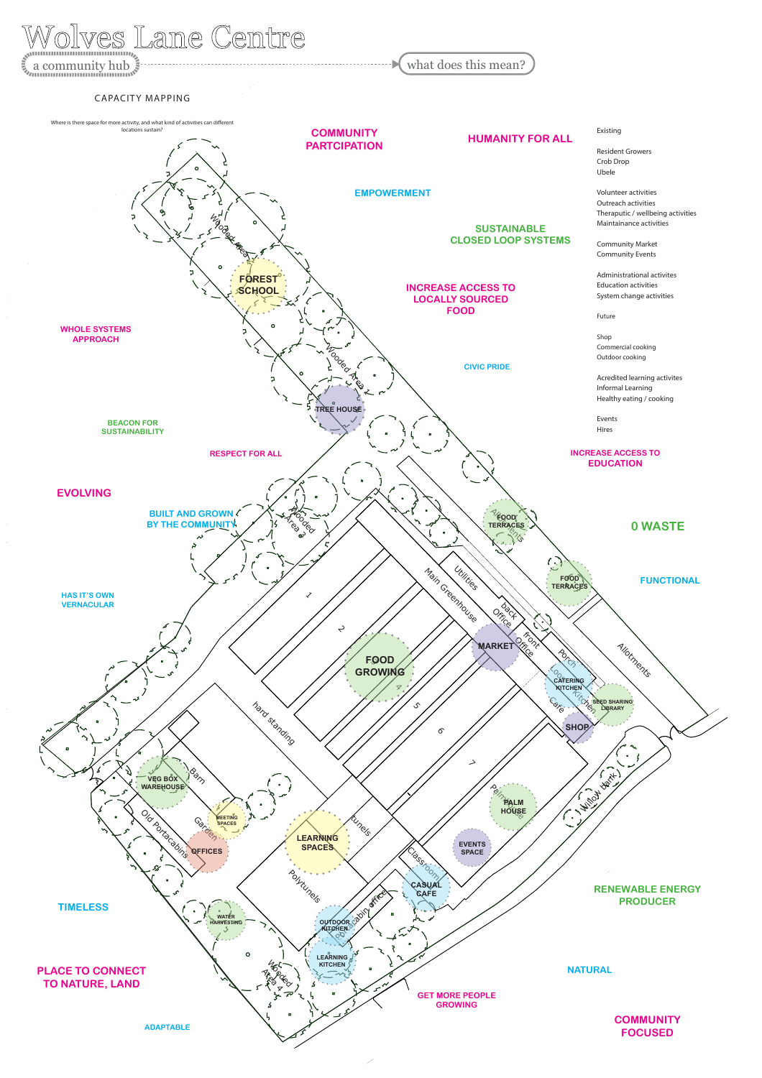